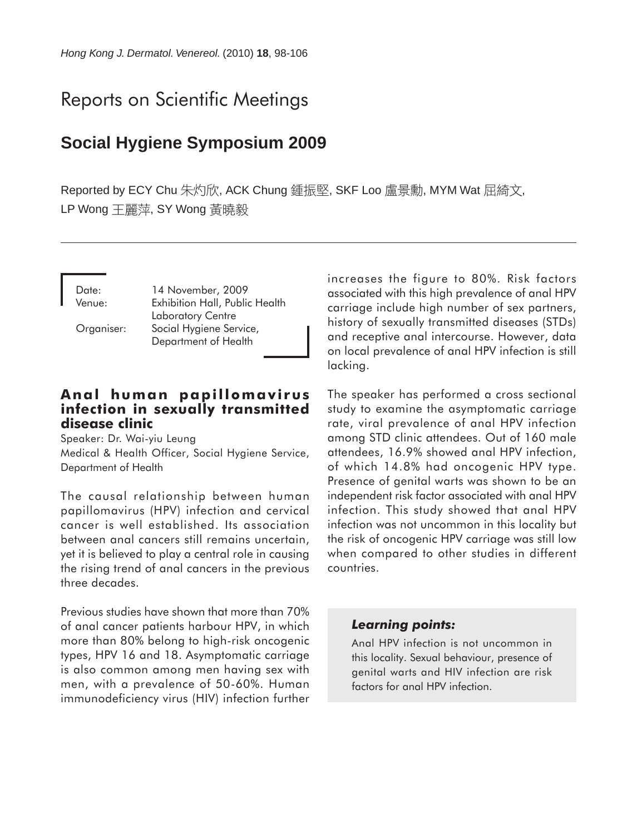# Reports on Scientific Meetings

# **Social Hygiene Symposium 2009**

Reported by ECY Chu 朱灼欣, ACK Chung 鍾振堅, SKF Loo 盧景勳, MYM Wat 屈綺文, LP Wong 王麗萍, SY Wong 黃曉毅

Date: 14 November, 2009 Venue: Exhibition Hall, Public Health Laboratory Centre Organiser: Social Hygiene Service, Department of Health

# **Anal human papillomavirus infection in sexually transmitted disease clinic**

Speaker: Dr. Wai-yiu Leung Medical & Health Officer, Social Hygiene Service, Department of Health

The causal relationship between human papillomavirus (HPV) infection and cervical cancer is well established. Its association between anal cancers still remains uncertain, yet it is believed to play a central role in causing the rising trend of anal cancers in the previous three decades.

Previous studies have shown that more than 70% of anal cancer patients harbour HPV, in which more than 80% belong to high-risk oncogenic types, HPV 16 and 18. Asymptomatic carriage is also common among men having sex with men, with a prevalence of 50-60%. Human immunodeficiency virus (HIV) infection further

increases the figure to 80%. Risk factors associated with this high prevalence of anal HPV carriage include high number of sex partners, history of sexually transmitted diseases (STDs) and receptive anal intercourse. However, data on local prevalence of anal HPV infection is still lacking.

The speaker has performed a cross sectional study to examine the asymptomatic carriage rate, viral prevalence of anal HPV infection among STD clinic attendees. Out of 160 male attendees, 16.9% showed anal HPV infection, of which 14.8% had oncogenic HPV type. Presence of genital warts was shown to be an independent risk factor associated with anal HPV infection. This study showed that anal HPV infection was not uncommon in this locality but the risk of oncogenic HPV carriage was still low when compared to other studies in different countries.

#### *Learning points:*

Anal HPV infection is not uncommon in this locality. Sexual behaviour, presence of genital warts and HIV infection are risk factors for anal HPV infection.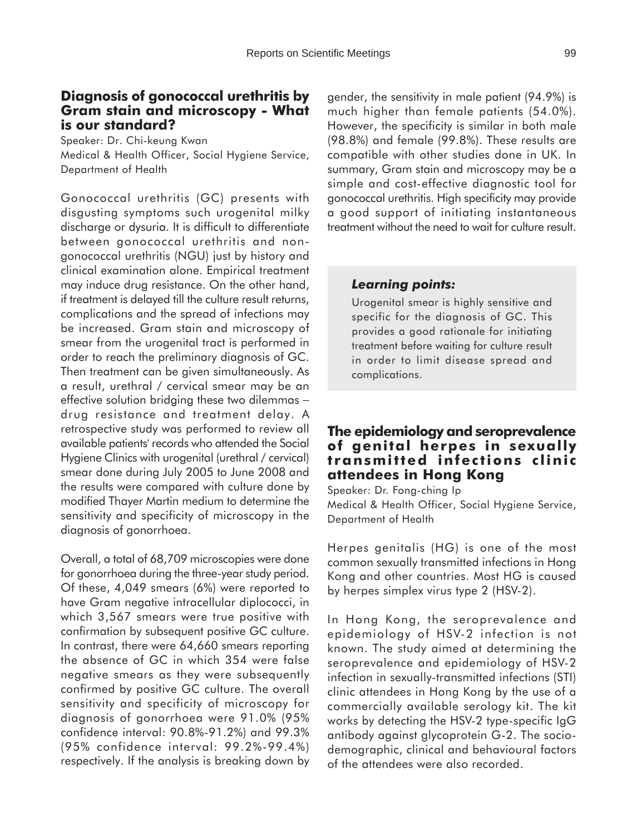## **Diagnosis of gonococcal urethritis by Gram stain and microscopy - What is our standard?**

Speaker: Dr. Chi-keung Kwan Medical & Health Officer, Social Hygiene Service, Department of Health

Gonococcal urethritis (GC) presents with disgusting symptoms such urogenital milky discharge or dysuria. It is difficult to differentiate between gonococcal urethritis and nongonococcal urethritis (NGU) just by history and clinical examination alone. Empirical treatment may induce drug resistance. On the other hand, if treatment is delayed till the culture result returns, complications and the spread of infections may be increased. Gram stain and microscopy of smear from the urogenital tract is performed in order to reach the preliminary diagnosis of GC. Then treatment can be given simultaneously. As a result, urethral / cervical smear may be an effective solution bridging these two dilemmas − drug resistance and treatment delay. A retrospective study was performed to review all available patients' records who attended the Social Hygiene Clinics with urogenital (urethral / cervical) smear done during July 2005 to June 2008 and the results were compared with culture done by modified Thayer Martin medium to determine the sensitivity and specificity of microscopy in the diagnosis of gonorrhoea.

Overall, a total of 68,709 microscopies were done for gonorrhoea during the three-year study period. Of these, 4,049 smears (6%) were reported to have Gram negative intracellular diplococci, in which 3,567 smears were true positive with confirmation by subsequent positive GC culture. In contrast, there were 64,660 smears reporting the absence of GC in which 354 were false negative smears as they were subsequently confirmed by positive GC culture. The overall sensitivity and specificity of microscopy for diagnosis of gonorrhoea were 91.0% (95% confidence interval: 90.8%-91.2%) and 99.3% (95% confidence interval: 99.2%-99.4%) respectively. If the analysis is breaking down by

gender, the sensitivity in male patient (94.9%) is much higher than female patients (54.0%). However, the specificity is similar in both male (98.8%) and female (99.8%). These results are compatible with other studies done in UK. In summary, Gram stain and microscopy may be a simple and cost-effective diagnostic tool for gonococcal urethritis. High specificity may provide a good support of initiating instantaneous treatment without the need to wait for culture result.

#### *Learning points:*

Urogenital smear is highly sensitive and specific for the diagnosis of GC. This provides a good rationale for initiating treatment before waiting for culture result in order to limit disease spread and complications.

# **The epidemiology and seroprevalence of genital herpes in sexually transmitted infections clinic attendees in Hong Kong**

Speaker: Dr. Fong-ching Ip Medical & Health Officer, Social Hygiene Service, Department of Health

Herpes genitalis (HG) is one of the most common sexually transmitted infections in Hong Kong and other countries. Most HG is caused by herpes simplex virus type 2 (HSV-2).

In Hong Kong, the seroprevalence and epidemiology of HSV-2 infection is not known. The study aimed at determining the seroprevalence and epidemiology of HSV-2 infection in sexually-transmitted infections (STI) clinic attendees in Hong Kong by the use of a commercially available serology kit. The kit works by detecting the HSV-2 type-specific IgG antibody against glycoprotein G-2. The sociodemographic, clinical and behavioural factors of the attendees were also recorded.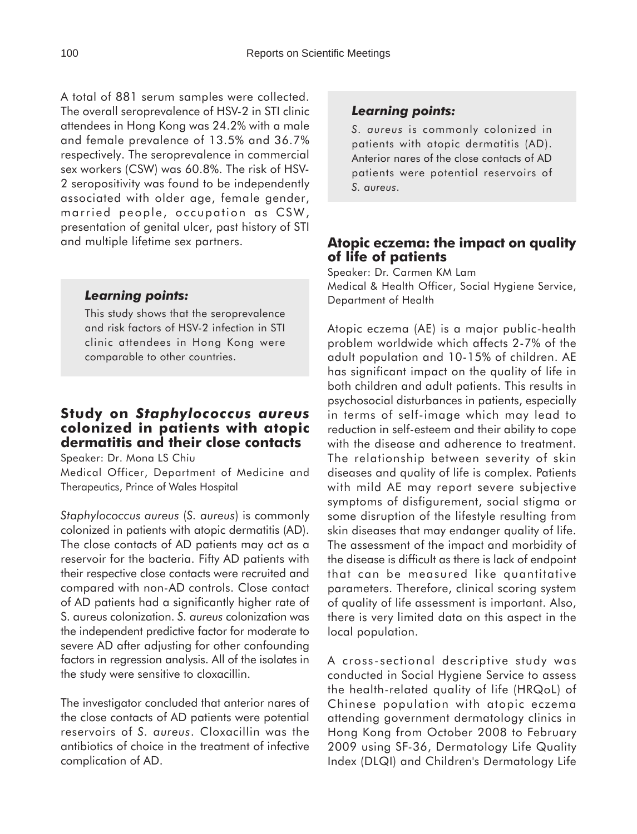A total of 881 serum samples were collected. The overall seroprevalence of HSV-2 in STI clinic attendees in Hong Kong was 24.2% with a male and female prevalence of 13.5% and 36.7% respectively. The seroprevalence in commercial sex workers (CSW) was 60.8%. The risk of HSV-2 seropositivity was found to be independently associated with older age, female gender, married people, occupation as CSW, presentation of genital ulcer, past history of STI and multiple lifetime sex partners.

#### *Learning points:*

This study shows that the seroprevalence and risk factors of HSV-2 infection in STI clinic attendees in Hong Kong were comparable to other countries.

# **Study on** *Staphylococcus aureus* **colonized in patients with atopic dermatitis and their close contacts**

Speaker: Dr. Mona LS Chiu

Medical Officer, Department of Medicine and Therapeutics, Prince of Wales Hospital

*Staphylococcus aureus* (*S. aureus*) is commonly colonized in patients with atopic dermatitis (AD). The close contacts of AD patients may act as a reservoir for the bacteria. Fifty AD patients with their respective close contacts were recruited and compared with non-AD controls. Close contact of AD patients had a significantly higher rate of S. aureus colonization. *S. aureus* colonization was the independent predictive factor for moderate to severe AD after adjusting for other confounding factors in regression analysis. All of the isolates in the study were sensitive to cloxacillin.

The investigator concluded that anterior nares of the close contacts of AD patients were potential reservoirs of *S. aureus*. Cloxacillin was the antibiotics of choice in the treatment of infective complication of AD.

#### *Learning points:*

*S. aureus* is commonly colonized in patients with atopic dermatitis (AD). Anterior nares of the close contacts of AD patients were potential reservoirs of *S. aureus*.

# **Atopic eczema: the impact on quality of life of patients**

Speaker: Dr. Carmen KM Lam

Medical & Health Officer, Social Hygiene Service, Department of Health

Atopic eczema (AE) is a major public-health problem worldwide which affects 2-7% of the adult population and 10-15% of children. AE has significant impact on the quality of life in both children and adult patients. This results in psychosocial disturbances in patients, especially in terms of self-image which may lead to reduction in self-esteem and their ability to cope with the disease and adherence to treatment. The relationship between severity of skin diseases and quality of life is complex. Patients with mild AE may report severe subjective symptoms of disfigurement, social stigma or some disruption of the lifestyle resulting from skin diseases that may endanger quality of life. The assessment of the impact and morbidity of the disease is difficult as there is lack of endpoint that can be measured like quantitative parameters. Therefore, clinical scoring system of quality of life assessment is important. Also, there is very limited data on this aspect in the local population.

A cross-sectional descriptive study was conducted in Social Hygiene Service to assess the health-related quality of life (HRQoL) of Chinese population with atopic eczema attending government dermatology clinics in Hong Kong from October 2008 to February 2009 using SF-36, Dermatology Life Quality Index (DLQI) and Children's Dermatology Life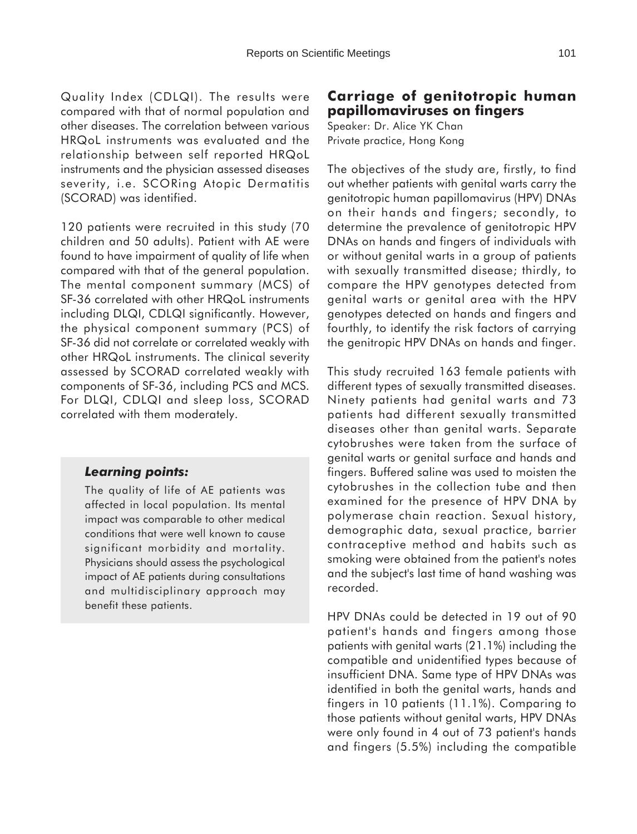Quality Index (CDLQI). The results were compared with that of normal population and other diseases. The correlation between various HRQoL instruments was evaluated and the relationship between self reported HRQoL instruments and the physician assessed diseases severity, i.e. SCORing Atopic Dermatitis (SCORAD) was identified.

120 patients were recruited in this study (70 children and 50 adults). Patient with AE were found to have impairment of quality of life when compared with that of the general population. The mental component summary (MCS) of SF-36 correlated with other HRQoL instruments including DLQI, CDLQI significantly. However, the physical component summary (PCS) of SF-36 did not correlate or correlated weakly with other HRQoL instruments. The clinical severity assessed by SCORAD correlated weakly with components of SF-36, including PCS and MCS. For DLQI, CDLQI and sleep loss, SCORAD correlated with them moderately.

#### *Learning points:*

The quality of life of AE patients was affected in local population. Its mental impact was comparable to other medical conditions that were well known to cause significant morbidity and mortality. Physicians should assess the psychological impact of AE patients during consultations and multidisciplinary approach may benefit these patients.

# **Carriage of genitotropic human papillomaviruses on fingers**

Speaker: Dr. Alice YK Chan Private practice, Hong Kong

The objectives of the study are, firstly, to find out whether patients with genital warts carry the genitotropic human papillomavirus (HPV) DNAs on their hands and fingers; secondly, to determine the prevalence of genitotropic HPV DNAs on hands and fingers of individuals with or without genital warts in a group of patients with sexually transmitted disease; thirdly, to compare the HPV genotypes detected from genital warts or genital area with the HPV genotypes detected on hands and fingers and fourthly, to identify the risk factors of carrying the genitropic HPV DNAs on hands and finger.

This study recruited 163 female patients with different types of sexually transmitted diseases. Ninety patients had genital warts and 73 patients had different sexually transmitted diseases other than genital warts. Separate cytobrushes were taken from the surface of genital warts or genital surface and hands and fingers. Buffered saline was used to moisten the cytobrushes in the collection tube and then examined for the presence of HPV DNA by polymerase chain reaction. Sexual history, demographic data, sexual practice, barrier contraceptive method and habits such as smoking were obtained from the patient's notes and the subject's last time of hand washing was recorded.

HPV DNAs could be detected in 19 out of 90 patient's hands and fingers among those patients with genital warts (21.1%) including the compatible and unidentified types because of insufficient DNA. Same type of HPV DNAs was identified in both the genital warts, hands and fingers in 10 patients (11.1%). Comparing to those patients without genital warts, HPV DNAs were only found in 4 out of 73 patient's hands and fingers (5.5%) including the compatible